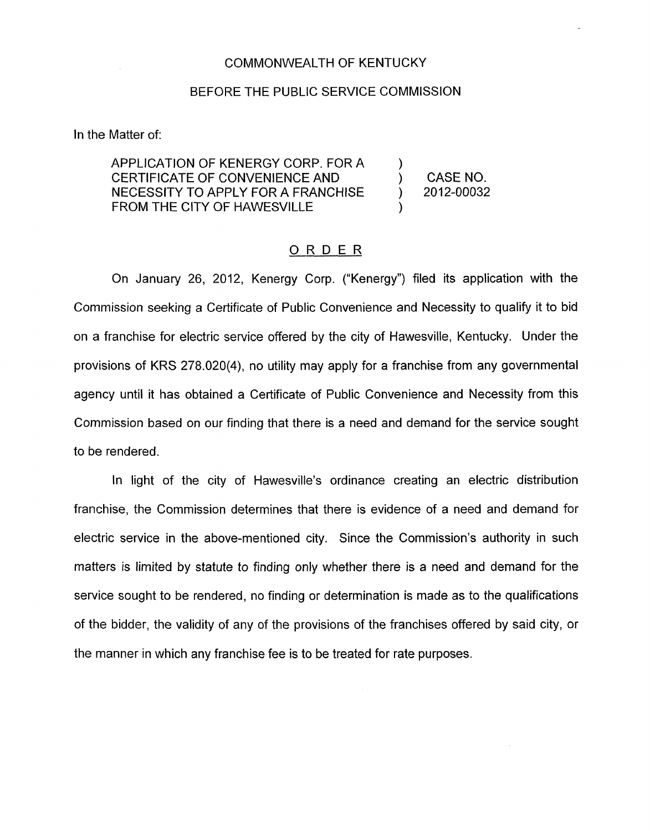## COMMONWEALTH OF KENTUCKY

## BEFORE THE PUBLIC SERVICE COMMISSION

In the Matter of:

APPLICATION OF KENERGY CORP. FOR A CERTIFICATE OF CONVENIENCE AND (CASE NO.<br>NECESSITY TO APPLY FOR A FRANCHISE (2012-00032 NECESSITY TO APPLY FOR A FRANCHISE FROM THE CITY OF HAWESVILLE

)

)

## ORDER

On January 26, 2012, Kenergy Corp. ("Kenergy") filed its application with the Commission seeking a Certificate of Public Convenience and Necessity to qualify it to bid on a franchise for electric service offered by the city of Hawesville, Kentucky. Under the provisions of KRS 278.020(4), no utility may apply for a franchise from any governmental agency until it has obtained a Certificate of Public Convenience and Necessity from this Commission based on our finding that there is a need and demand for the service sought to be rendered.

In light of the city of Hawesville's ordinance creating an electric distribution franchise, the Commission determines that there is evidence of a need and demand for electric service in the above-mentioned city. Since the Commission's authority in such matters is limited by statute to finding only whether there is a need and demand for the service sought to be rendered, no finding or determination is made as to the qualifications of the bidder, the validity of any of the provisions of the franchises offered by said city, or the manner in which any franchise fee is to be treated for rate purposes.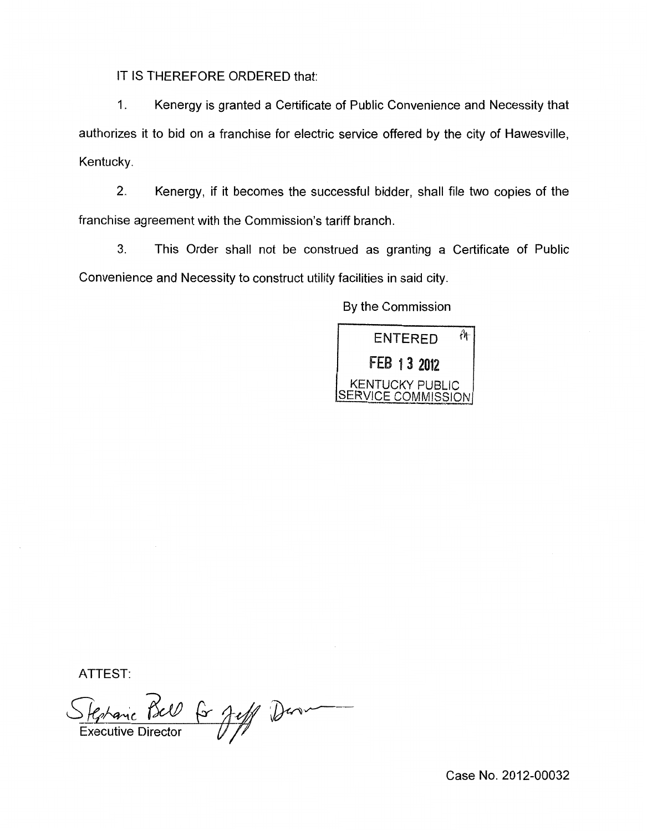IT IS THEREFORE ORDERED that:

1. Kenergy is granted a Certificate of Public Convenience and Necessity that authorizes it to bid on a franchise for electric service offered by the city of Hawesville, Kentucky. of Public Convenience and Necess<br>service offered by the city of Haven<br>essful bidder, shall file two copies<br>riff branch.<br>Tued as granting a Certificate of<br>facilities in said city.<br>By the Commission<br>ENTERED<br>FEB 13 2012<br>KENTU

2. Kenergy, if it becomes the successful bidder, shall file two copies of the franchise agreement with the Commission's tariff branch.

3. This Order shall not be construed as granting a Certificate of Public Convenience and Necessity to construct utility facilities in said city.

By the Commission



ATTEST:

Stertanic Bell for Jeff Den

Case No. 2012-00032